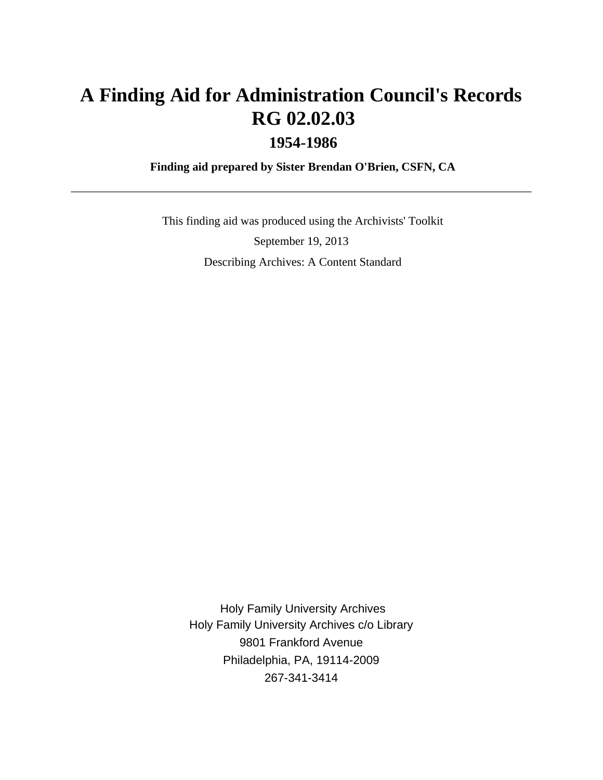# **A Finding Aid for Administration Council's Records RG 02.02.03 1954-1986**

 **Finding aid prepared by Sister Brendan O'Brien, CSFN, CA**

 This finding aid was produced using the Archivists' Toolkit September 19, 2013 Describing Archives: A Content Standard

 Holy Family University Archives Holy Family University Archives c/o Library 9801 Frankford Avenue Philadelphia, PA, 19114-2009 267-341-3414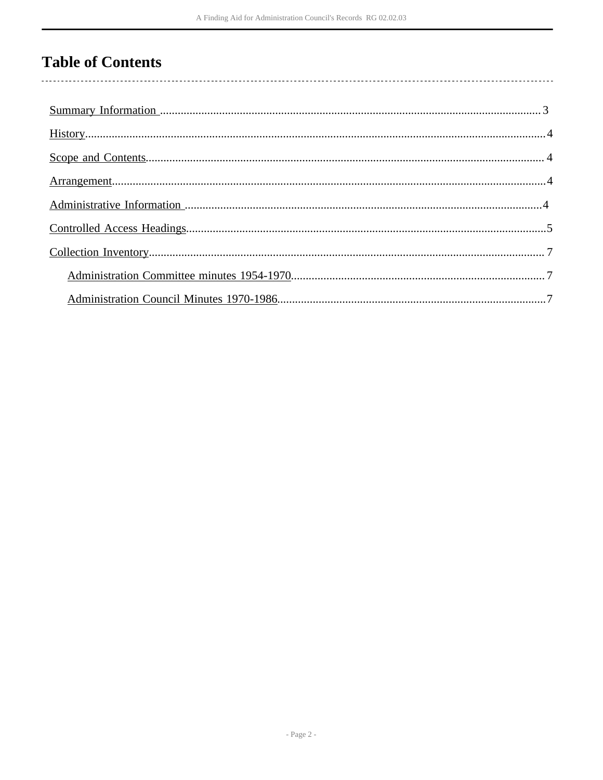# **Table of Contents**

 $\overline{\phantom{a}}$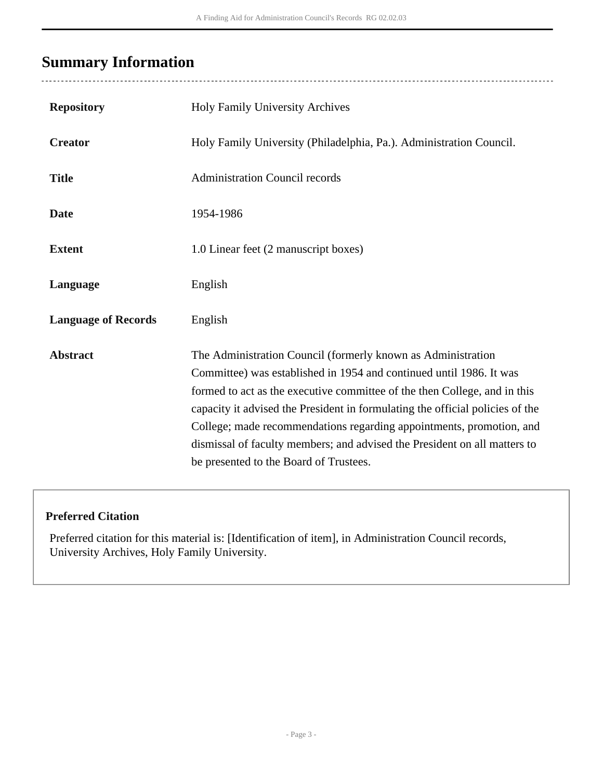## <span id="page-2-0"></span>**Summary Information**

| <b>Repository</b>          | Holy Family University Archives                                                                                                                                                                                                                                                                                                                                                                                                                                                                  |
|----------------------------|--------------------------------------------------------------------------------------------------------------------------------------------------------------------------------------------------------------------------------------------------------------------------------------------------------------------------------------------------------------------------------------------------------------------------------------------------------------------------------------------------|
| <b>Creator</b>             | Holy Family University (Philadelphia, Pa.). Administration Council.                                                                                                                                                                                                                                                                                                                                                                                                                              |
| <b>Title</b>               | <b>Administration Council records</b>                                                                                                                                                                                                                                                                                                                                                                                                                                                            |
| <b>Date</b>                | 1954-1986                                                                                                                                                                                                                                                                                                                                                                                                                                                                                        |
| <b>Extent</b>              | 1.0 Linear feet (2 manuscript boxes)                                                                                                                                                                                                                                                                                                                                                                                                                                                             |
| Language                   | English                                                                                                                                                                                                                                                                                                                                                                                                                                                                                          |
| <b>Language of Records</b> | English                                                                                                                                                                                                                                                                                                                                                                                                                                                                                          |
| <b>Abstract</b>            | The Administration Council (formerly known as Administration<br>Committee) was established in 1954 and continued until 1986. It was<br>formed to act as the executive committee of the then College, and in this<br>capacity it advised the President in formulating the official policies of the<br>College; made recommendations regarding appointments, promotion, and<br>dismissal of faculty members; and advised the President on all matters to<br>be presented to the Board of Trustees. |

### **Preferred Citation**

Preferred citation for this material is: [Identification of item], in Administration Council records, University Archives, Holy Family University.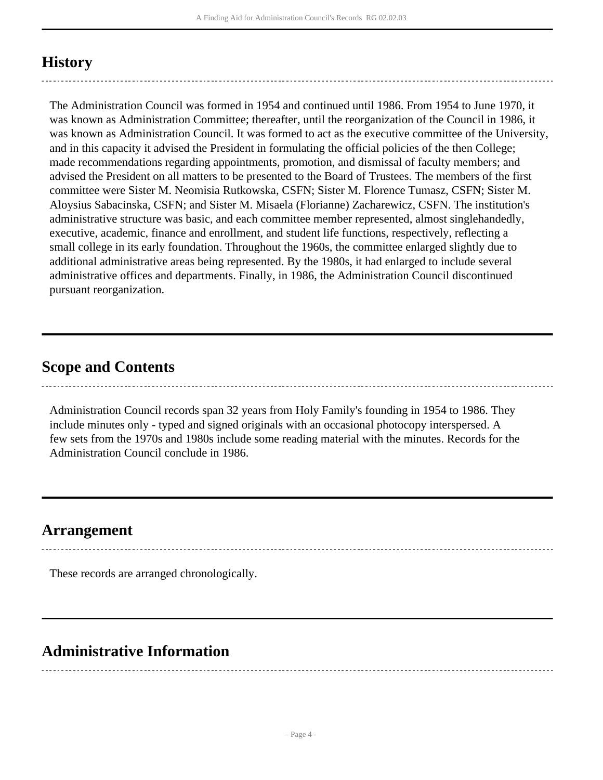### <span id="page-3-0"></span>**History**

The Administration Council was formed in 1954 and continued until 1986. From 1954 to June 1970, it was known as Administration Committee; thereafter, until the reorganization of the Council in 1986, it was known as Administration Council. It was formed to act as the executive committee of the University, and in this capacity it advised the President in formulating the official policies of the then College; made recommendations regarding appointments, promotion, and dismissal of faculty members; and advised the President on all matters to be presented to the Board of Trustees. The members of the first committee were Sister M. Neomisia Rutkowska, CSFN; Sister M. Florence Tumasz, CSFN; Sister M. Aloysius Sabacinska, CSFN; and Sister M. Misaela (Florianne) Zacharewicz, CSFN. The institution's administrative structure was basic, and each committee member represented, almost singlehandedly, executive, academic, finance and enrollment, and student life functions, respectively, reflecting a small college in its early foundation. Throughout the 1960s, the committee enlarged slightly due to additional administrative areas being represented. By the 1980s, it had enlarged to include several administrative offices and departments. Finally, in 1986, the Administration Council discontinued pursuant reorganization.

### <span id="page-3-1"></span>**Scope and Contents**

Administration Council records span 32 years from Holy Family's founding in 1954 to 1986. They include minutes only - typed and signed originals with an occasional photocopy interspersed. A few sets from the 1970s and 1980s include some reading material with the minutes. Records for the Administration Council conclude in 1986.

### <span id="page-3-2"></span>**Arrangement**

These records are arranged chronologically.

## <span id="page-3-3"></span>**Administrative Information**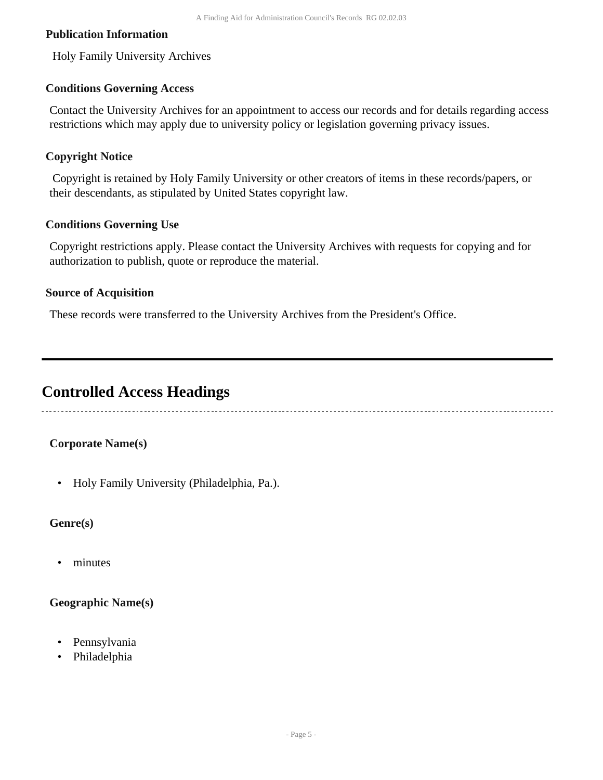#### **Publication Information**

Holy Family University Archives

#### **Conditions Governing Access**

Contact the University Archives for an appointment to access our records and for details regarding access restrictions which may apply due to university policy or legislation governing privacy issues.

#### **Copyright Notice**

 Copyright is retained by Holy Family University or other creators of items in these records/papers, or their descendants, as stipulated by United States copyright law.

#### **Conditions Governing Use**

Copyright restrictions apply. Please contact the University Archives with requests for copying and for authorization to publish, quote or reproduce the material.

#### **Source of Acquisition**

These records were transferred to the University Archives from the President's Office.

### <span id="page-4-0"></span>**Controlled Access Headings**

#### **Corporate Name(s)**

• Holy Family University (Philadelphia, Pa.).

#### **Genre(s)**

• minutes

#### **Geographic Name(s)**

- Pennsylvania
- Philadelphia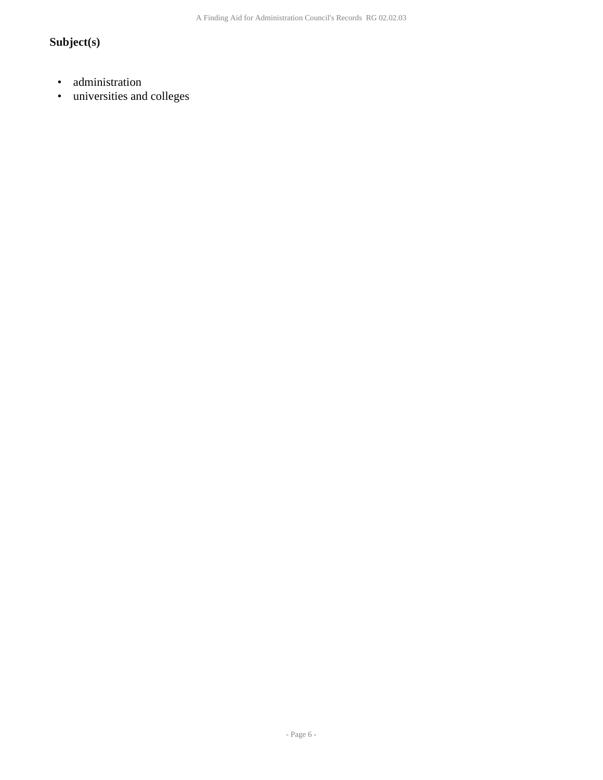### **Subject(s)**

- administration
- universities and colleges